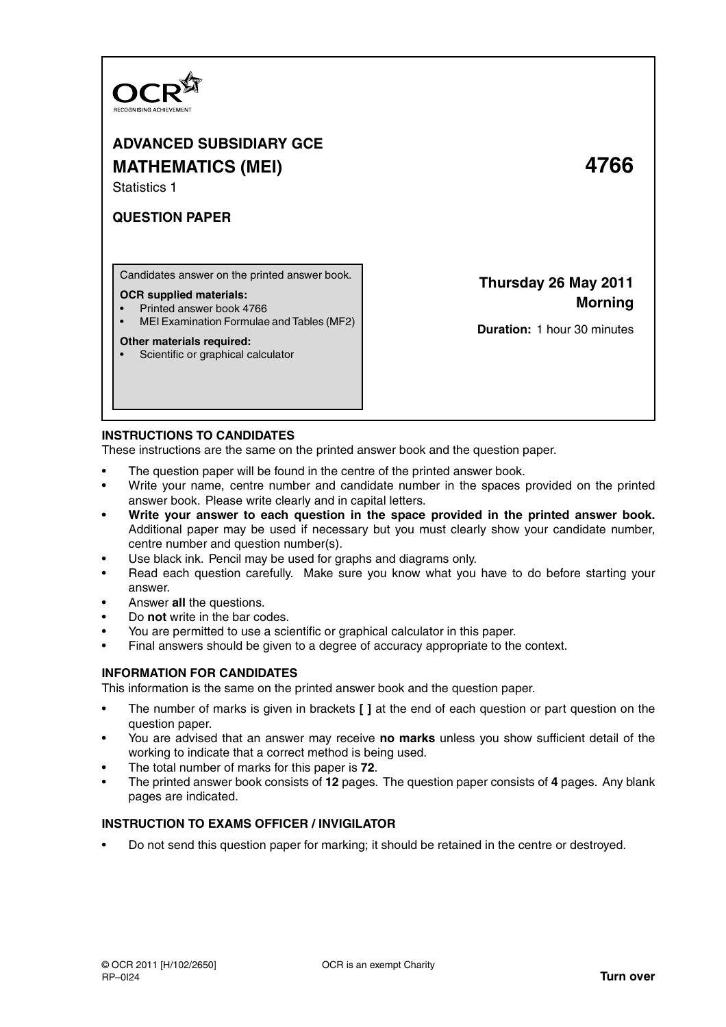

# **ADVANCED SUBSIDIARY GCE MATHEMATICS (MEI) 4766**

Statistics 1

## **QUESTION PAPER**

Candidates answer on the printed answer book.

#### **OCR supplied materials:**

- Printed answer book 4766
- MEI Examination Formulae and Tables (MF2)

#### **Other materials required:**

• Scientific or graphical calculator

**Thursday 26 May 2011**

**Morning**

**Duration:** 1 hour 30 minutes

#### **INSTRUCTIONS TO CANDIDATES**

These instructions are the same on the printed answer book and the question paper.

- The question paper will be found in the centre of the printed answer book.
- Write your name, centre number and candidate number in the spaces provided on the printed answer book. Please write clearly and in capital letters.
- **Write your answer to each question in the space provided in the printed answer book.** Additional paper may be used if necessary but you must clearly show your candidate number, centre number and question number(s).
- Use black ink. Pencil may be used for graphs and diagrams only.
- Read each question carefully. Make sure you know what you have to do before starting your answer.
- Answer **all** the questions.
- Do **not** write in the bar codes.
- You are permitted to use a scientific or graphical calculator in this paper.
- Final answers should be given to a degree of accuracy appropriate to the context.

#### **INFORMATION FOR CANDIDATES**

This information is the same on the printed answer book and the question paper.

- The number of marks is given in brackets **[ ]** at the end of each question or part question on the question paper.
- You are advised that an answer may receive **no marks** unless you show sufficient detail of the working to indicate that a correct method is being used.
- The total number of marks for this paper is **72**.
- The printed answer book consists of **12** pages. The question paper consists of **4** pages. Any blank pages are indicated.

#### **INSTRUCTION TO EXAMS OFFICER / INVIGILATOR**

• Do not send this question paper for marking; it should be retained in the centre or destroyed.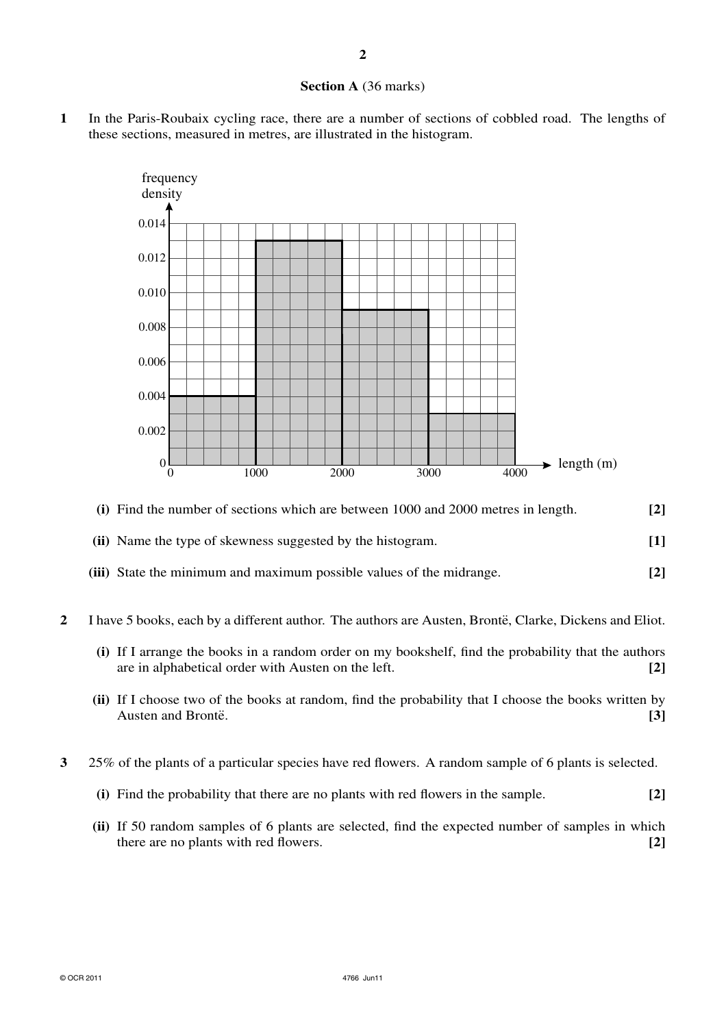## **Section A** (36 marks)

**1** In the Paris-Roubaix cycling race, there are a number of sections of cobbled road. The lengths of these sections, measured in metres, are illustrated in the histogram.



## **(i)** Find the number of sections which are between 1000 and 2000 metres in length. **[2]**

### **(ii)** Name the type of skewness suggested by the histogram. **[1]**

- **(iii)** State the minimum and maximum possible values of the midrange. **[2]**
- 2 I have 5 books, each by a different author. The authors are Austen, Brontë, Clarke, Dickens and Eliot.
	- **(i)** If I arrange the books in a random order on my bookshelf, find the probability that the authors are in alphabetical order with Austen on the left. **[2]**
	- **(ii)** If I choose two of the books at random, find the probability that I choose the books written by Austen and Bronte. **[3]**
- **3** 25% of the plants of a particular species have red flowers. A random sample of 6 plants is selected.
	- **(i)** Find the probability that there are no plants with red flowers in the sample. **[2]**
	- **(ii)** If 50 random samples of 6 plants are selected, find the expected number of samples in which there are no plants with red flowers. **[2]**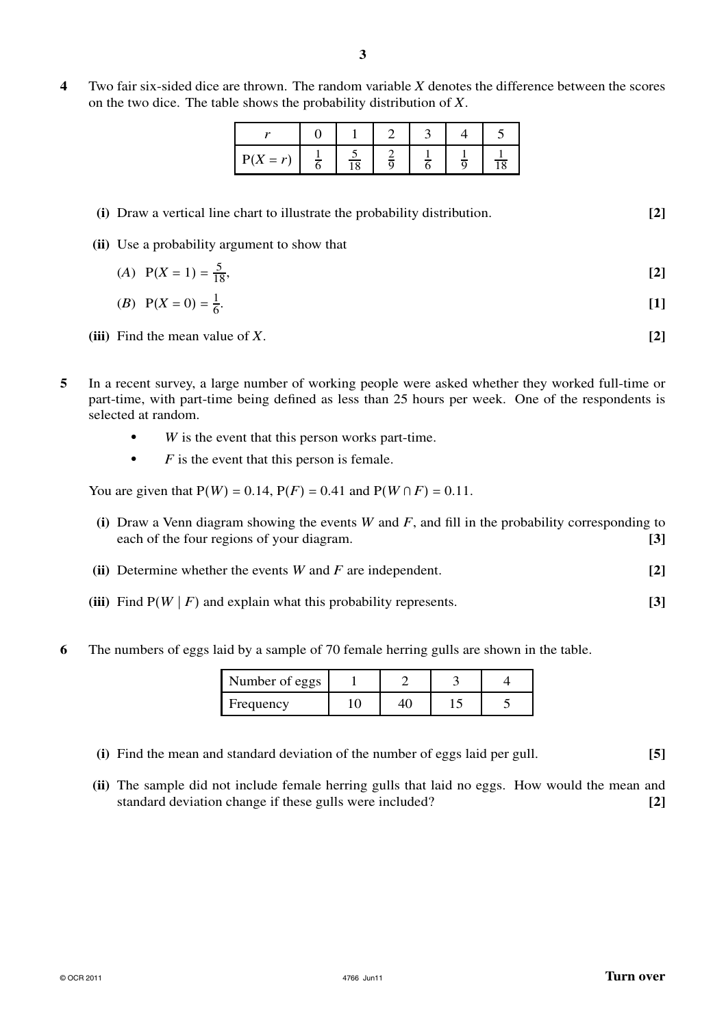**4** Two fair six-sided dice are thrown. The random variable *X* denotes the difference between the scores on the two dice. The table shows the probability distribution of *X*.

| $P(X = r)$ | $\overline{10}$ |  |  |
|------------|-----------------|--|--|

## **(i)** Draw a vertical line chart to illustrate the probability distribution. **[2]**

**(ii)** Use a probability argument to show that

(A) 
$$
P(X = 1) = \frac{5}{18}
$$
, [2]

(B) 
$$
P(X = 0) = \frac{1}{6}
$$
. [1]

**(iii)** Find the mean value of *X*. **[2]**

- **5** In a recent survey, a large number of working people were asked whether they worked full-time or part-time, with part-time being defined as less than 25 hours per week. One of the respondents is selected at random.
	- **•** *W* is the event that this person works part-time.
	- *F* is the event that this person is female.

You are given that  $P(W) = 0.14$ ,  $P(F) = 0.41$  and  $P(W \cap F) = 0.11$ .

- **(i)** Draw a Venn diagram showing the events *W* and *F*, and fill in the probability corresponding to each of the four regions of your diagram. **[3]**
- **(ii)** Determine whether the events *W* and *F* are independent. **[2]**
- **(iii)** Find  $P(W | F)$  and explain what this probability represents. **[3]**
- **6** The numbers of eggs laid by a sample of 70 female herring gulls are shown in the table.

| Number of eggs |  |  |
|----------------|--|--|
| Frequency      |  |  |

- **(i)** Find the mean and standard deviation of the number of eggs laid per gull. **[5]**
- **(ii)** The sample did not include female herring gulls that laid no eggs. How would the mean and standard deviation change if these gulls were included? **[2]**